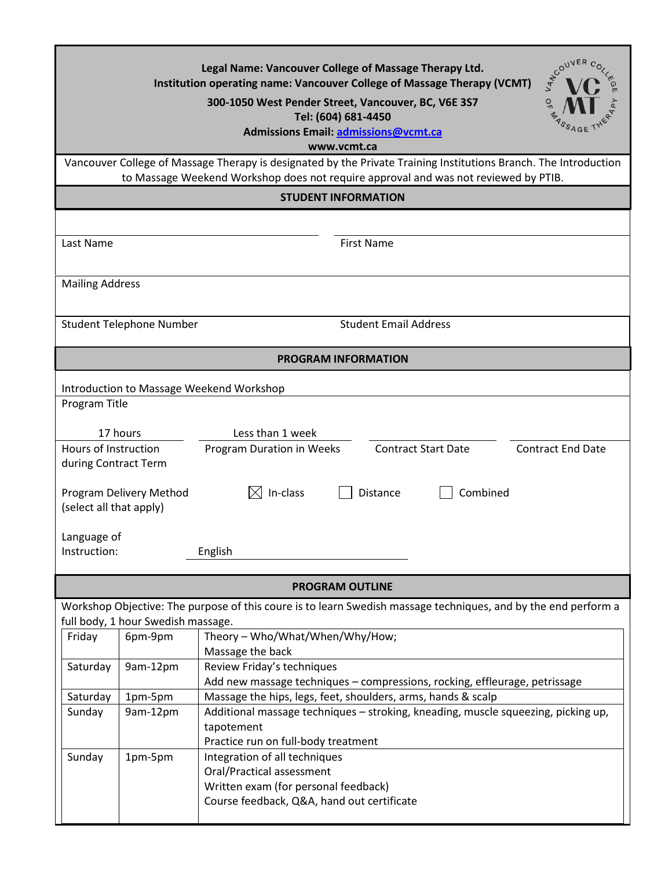| <b>ATCOUVER</b><br>Legal Name: Vancouver College of Massage Therapy Ltd.<br>Institution operating name: Vancouver College of Massage Therapy (VCMT)<br>300-1050 West Pender Street, Vancouver, BC, V6E 3S7<br>Tel: (604) 681-4450<br>Admissions Email: admissions@vcmt.ca<br>www.vcmt.ca<br>Vancouver College of Massage Therapy is designated by the Private Training Institutions Branch. The Introduction |  |  |
|--------------------------------------------------------------------------------------------------------------------------------------------------------------------------------------------------------------------------------------------------------------------------------------------------------------------------------------------------------------------------------------------------------------|--|--|
| to Massage Weekend Workshop does not require approval and was not reviewed by PTIB.                                                                                                                                                                                                                                                                                                                          |  |  |
| <b>STUDENT INFORMATION</b>                                                                                                                                                                                                                                                                                                                                                                                   |  |  |
|                                                                                                                                                                                                                                                                                                                                                                                                              |  |  |
| <b>First Name</b><br>Last Name                                                                                                                                                                                                                                                                                                                                                                               |  |  |
| <b>Mailing Address</b>                                                                                                                                                                                                                                                                                                                                                                                       |  |  |
| <b>Student Email Address</b><br><b>Student Telephone Number</b>                                                                                                                                                                                                                                                                                                                                              |  |  |
| <b>PROGRAM INFORMATION</b>                                                                                                                                                                                                                                                                                                                                                                                   |  |  |
| Introduction to Massage Weekend Workshop<br>Program Title                                                                                                                                                                                                                                                                                                                                                    |  |  |
| 17 hours<br>Less than 1 week                                                                                                                                                                                                                                                                                                                                                                                 |  |  |
| Hours of Instruction<br>Program Duration in Weeks<br><b>Contract Start Date</b><br><b>Contract End Date</b><br>during Contract Term                                                                                                                                                                                                                                                                          |  |  |
| In-class<br>Combined<br>Program Delivery Method<br>Distance<br>(select all that apply)                                                                                                                                                                                                                                                                                                                       |  |  |
| Language of<br>Instruction:<br>English                                                                                                                                                                                                                                                                                                                                                                       |  |  |
| <b>PROGRAM OUTLINE</b>                                                                                                                                                                                                                                                                                                                                                                                       |  |  |
| Workshop Objective: The purpose of this coure is to learn Swedish massage techniques, and by the end perform a                                                                                                                                                                                                                                                                                               |  |  |
| full body, 1 hour Swedish massage.                                                                                                                                                                                                                                                                                                                                                                           |  |  |
| Theory - Who/What/When/Why/How;<br>6pm-9pm<br>Friday<br>Massage the back                                                                                                                                                                                                                                                                                                                                     |  |  |
| Review Friday's techniques<br>Saturday<br>9am-12pm                                                                                                                                                                                                                                                                                                                                                           |  |  |
| Add new massage techniques - compressions, rocking, effleurage, petrissage                                                                                                                                                                                                                                                                                                                                   |  |  |
| Massage the hips, legs, feet, shoulders, arms, hands & scalp<br>Saturday<br>1pm-5pm                                                                                                                                                                                                                                                                                                                          |  |  |
| 9am-12pm<br>Additional massage techniques - stroking, kneading, muscle squeezing, picking up,<br>Sunday<br>tapotement<br>Practice run on full-body treatment                                                                                                                                                                                                                                                 |  |  |
| Integration of all techniques<br>Sunday<br>1pm-5pm                                                                                                                                                                                                                                                                                                                                                           |  |  |
| Oral/Practical assessment                                                                                                                                                                                                                                                                                                                                                                                    |  |  |
| Written exam (for personal feedback)                                                                                                                                                                                                                                                                                                                                                                         |  |  |
| Course feedback, Q&A, hand out certificate                                                                                                                                                                                                                                                                                                                                                                   |  |  |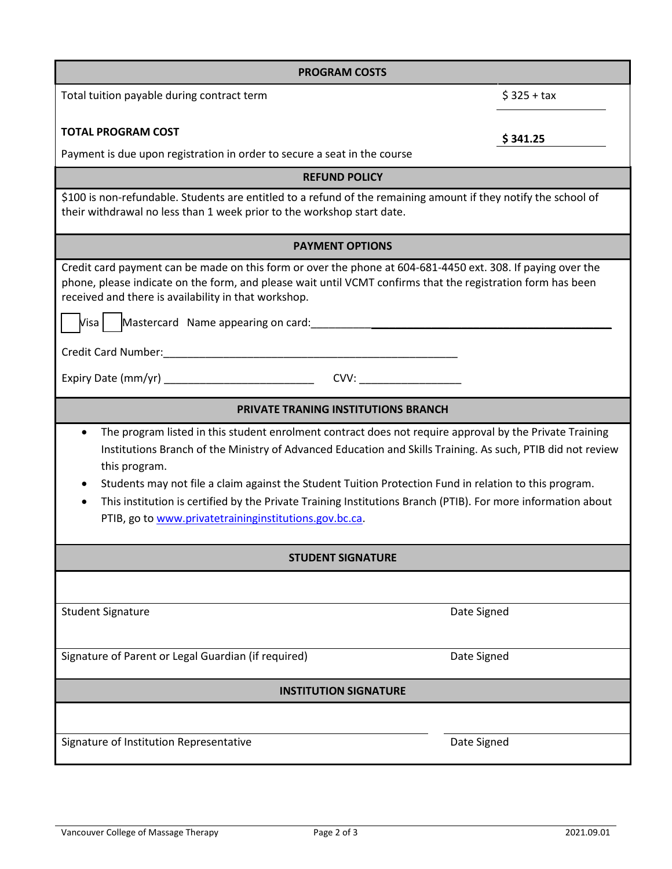| <b>PROGRAM COSTS</b>                                                                                                                                                                                                                                                                                                                                                                                                                                                                                                                     |              |  |
|------------------------------------------------------------------------------------------------------------------------------------------------------------------------------------------------------------------------------------------------------------------------------------------------------------------------------------------------------------------------------------------------------------------------------------------------------------------------------------------------------------------------------------------|--------------|--|
| Total tuition payable during contract term                                                                                                                                                                                                                                                                                                                                                                                                                                                                                               | $$325 + tax$ |  |
| <b>TOTAL PROGRAM COST</b>                                                                                                                                                                                                                                                                                                                                                                                                                                                                                                                | \$341.25     |  |
| Payment is due upon registration in order to secure a seat in the course                                                                                                                                                                                                                                                                                                                                                                                                                                                                 |              |  |
| <b>REFUND POLICY</b>                                                                                                                                                                                                                                                                                                                                                                                                                                                                                                                     |              |  |
| \$100 is non-refundable. Students are entitled to a refund of the remaining amount if they notify the school of<br>their withdrawal no less than 1 week prior to the workshop start date.                                                                                                                                                                                                                                                                                                                                                |              |  |
| <b>PAYMENT OPTIONS</b>                                                                                                                                                                                                                                                                                                                                                                                                                                                                                                                   |              |  |
| Credit card payment can be made on this form or over the phone at 604-681-4450 ext. 308. If paying over the<br>phone, please indicate on the form, and please wait until VCMT confirms that the registration form has been<br>received and there is availability in that workshop.                                                                                                                                                                                                                                                       |              |  |
| Visa                                                                                                                                                                                                                                                                                                                                                                                                                                                                                                                                     |              |  |
|                                                                                                                                                                                                                                                                                                                                                                                                                                                                                                                                          |              |  |
| CVV:                                                                                                                                                                                                                                                                                                                                                                                                                                                                                                                                     |              |  |
| <b>PRIVATE TRANING INSTITUTIONS BRANCH</b>                                                                                                                                                                                                                                                                                                                                                                                                                                                                                               |              |  |
| The program listed in this student enrolment contract does not require approval by the Private Training<br>$\bullet$<br>Institutions Branch of the Ministry of Advanced Education and Skills Training. As such, PTIB did not review<br>this program.<br>Students may not file a claim against the Student Tuition Protection Fund in relation to this program.<br>This institution is certified by the Private Training Institutions Branch (PTIB). For more information about<br>PTIB, go to www.privatetraininginstitutions.gov.bc.ca. |              |  |
| <b>STUDENT SIGNATURE</b>                                                                                                                                                                                                                                                                                                                                                                                                                                                                                                                 |              |  |
|                                                                                                                                                                                                                                                                                                                                                                                                                                                                                                                                          |              |  |
| <b>Student Signature</b>                                                                                                                                                                                                                                                                                                                                                                                                                                                                                                                 | Date Signed  |  |
| Signature of Parent or Legal Guardian (if required)                                                                                                                                                                                                                                                                                                                                                                                                                                                                                      | Date Signed  |  |
| <b>INSTITUTION SIGNATURE</b>                                                                                                                                                                                                                                                                                                                                                                                                                                                                                                             |              |  |
|                                                                                                                                                                                                                                                                                                                                                                                                                                                                                                                                          |              |  |
| Signature of Institution Representative                                                                                                                                                                                                                                                                                                                                                                                                                                                                                                  | Date Signed  |  |